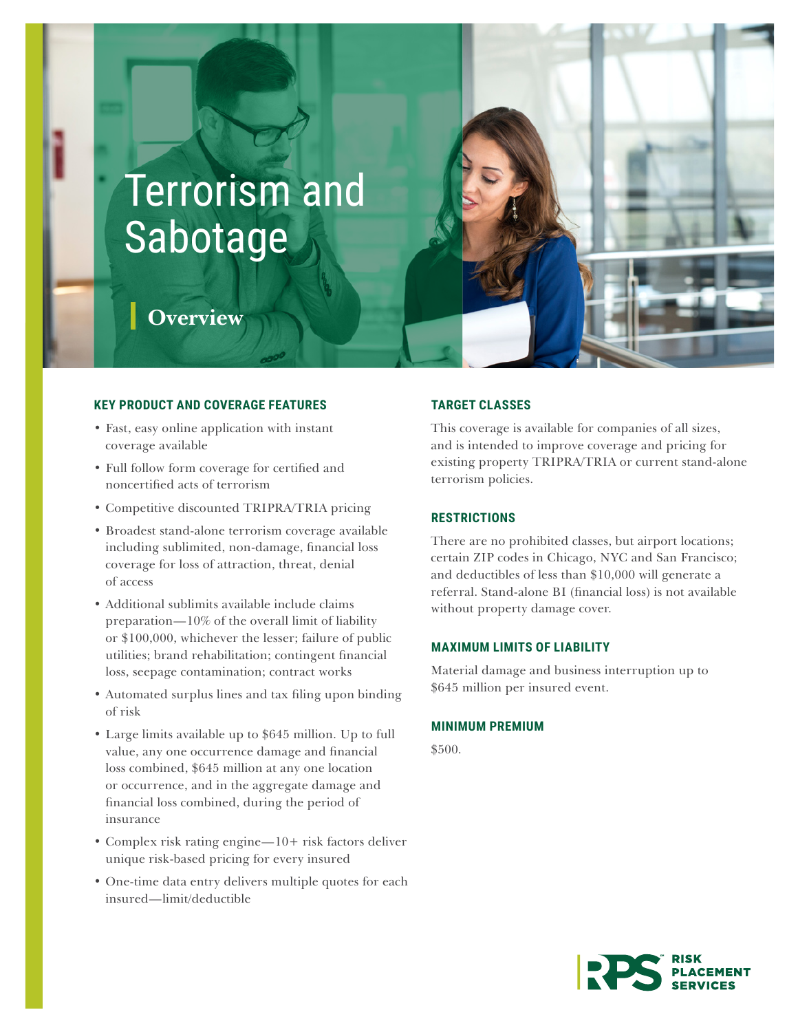# Terrorism and Sabotage

# **Overview**

### **KEY PRODUCT AND COVERAGE FEATURES**

- Fast, easy online application with instant coverage available
- Full follow form coverage for certified and noncertified acts of terrorism
- Competitive discounted TRIPRA/TRIA pricing
- Broadest stand-alone terrorism coverage available including sublimited, non-damage, financial loss coverage for loss of attraction, threat, denial of access
- Additional sublimits available include claims preparation—10% of the overall limit of liability or \$100,000, whichever the lesser; failure of public utilities; brand rehabilitation; contingent financial loss, seepage contamination; contract works
- Automated surplus lines and tax filing upon binding of risk
- Large limits available up to \$645 million. Up to full value, any one occurrence damage and financial loss combined, \$645 million at any one location or occurrence, and in the aggregate damage and financial loss combined, during the period of insurance
- Complex risk rating engine—10+ risk factors deliver unique risk-based pricing for every insured
- One-time data entry delivers multiple quotes for each insured—limit/deductible

# **TARGET CLASSES**

This coverage is available for companies of all sizes, and is intended to improve coverage and pricing for existing property TRIPRA/TRIA or current stand-alone terrorism policies.

## **RESTRICTIONS**

There are no prohibited classes, but airport locations; certain ZIP codes in Chicago, NYC and San Francisco; and deductibles of less than \$10,000 will generate a referral. Stand-alone BI (financial loss) is not available without property damage cover.

#### **MAXIMUM LIMITS OF LIABILITY**

Material damage and business interruption up to \$645 million per insured event.

#### **MINIMUM PREMIUM**

\$500.